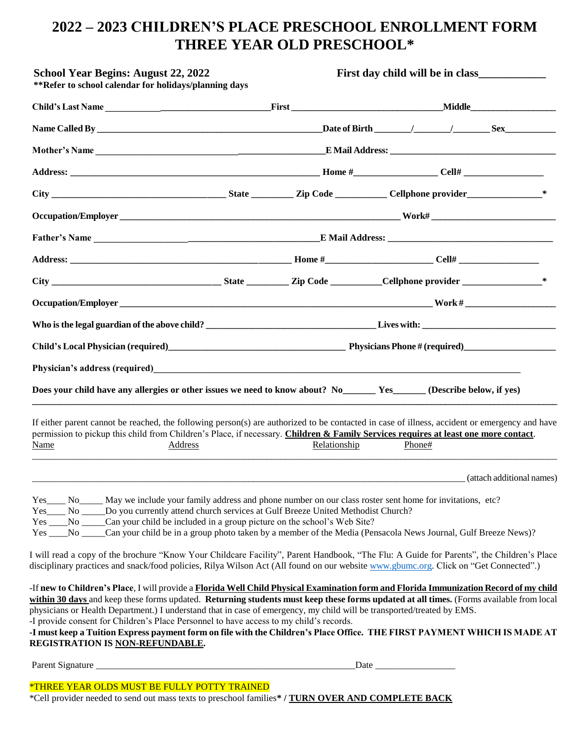## **2022 – 2023 CHILDREN'S PLACE PRESCHOOL ENROLLMENT FORM THREE YEAR OLD PRESCHOOL\***

| <b>School Year Begins: August 22, 2022</b><br>**Refer to school calendar for holidays/planning days                                                                                                                                                                                                                                                                                                                                                                                                                                                                                                                                                                                                                                                                                                                                                                                                                                                                                                                                                                                                                                 |                | First day child will be in class |                                   |                           |
|-------------------------------------------------------------------------------------------------------------------------------------------------------------------------------------------------------------------------------------------------------------------------------------------------------------------------------------------------------------------------------------------------------------------------------------------------------------------------------------------------------------------------------------------------------------------------------------------------------------------------------------------------------------------------------------------------------------------------------------------------------------------------------------------------------------------------------------------------------------------------------------------------------------------------------------------------------------------------------------------------------------------------------------------------------------------------------------------------------------------------------------|----------------|----------------------------------|-----------------------------------|---------------------------|
|                                                                                                                                                                                                                                                                                                                                                                                                                                                                                                                                                                                                                                                                                                                                                                                                                                                                                                                                                                                                                                                                                                                                     |                |                                  |                                   |                           |
|                                                                                                                                                                                                                                                                                                                                                                                                                                                                                                                                                                                                                                                                                                                                                                                                                                                                                                                                                                                                                                                                                                                                     |                |                                  |                                   |                           |
|                                                                                                                                                                                                                                                                                                                                                                                                                                                                                                                                                                                                                                                                                                                                                                                                                                                                                                                                                                                                                                                                                                                                     |                |                                  |                                   |                           |
|                                                                                                                                                                                                                                                                                                                                                                                                                                                                                                                                                                                                                                                                                                                                                                                                                                                                                                                                                                                                                                                                                                                                     |                |                                  |                                   |                           |
|                                                                                                                                                                                                                                                                                                                                                                                                                                                                                                                                                                                                                                                                                                                                                                                                                                                                                                                                                                                                                                                                                                                                     |                |                                  |                                   |                           |
|                                                                                                                                                                                                                                                                                                                                                                                                                                                                                                                                                                                                                                                                                                                                                                                                                                                                                                                                                                                                                                                                                                                                     |                |                                  |                                   |                           |
|                                                                                                                                                                                                                                                                                                                                                                                                                                                                                                                                                                                                                                                                                                                                                                                                                                                                                                                                                                                                                                                                                                                                     |                |                                  |                                   |                           |
|                                                                                                                                                                                                                                                                                                                                                                                                                                                                                                                                                                                                                                                                                                                                                                                                                                                                                                                                                                                                                                                                                                                                     |                |                                  |                                   |                           |
|                                                                                                                                                                                                                                                                                                                                                                                                                                                                                                                                                                                                                                                                                                                                                                                                                                                                                                                                                                                                                                                                                                                                     |                |                                  |                                   |                           |
|                                                                                                                                                                                                                                                                                                                                                                                                                                                                                                                                                                                                                                                                                                                                                                                                                                                                                                                                                                                                                                                                                                                                     |                |                                  |                                   |                           |
|                                                                                                                                                                                                                                                                                                                                                                                                                                                                                                                                                                                                                                                                                                                                                                                                                                                                                                                                                                                                                                                                                                                                     |                |                                  |                                   |                           |
|                                                                                                                                                                                                                                                                                                                                                                                                                                                                                                                                                                                                                                                                                                                                                                                                                                                                                                                                                                                                                                                                                                                                     |                |                                  |                                   |                           |
| Physician's address (required)<br><u>Letter and the contract of the contract of the contract of the contract of the contract of the contract of the contract of the contract of the contract of the contract of the contract of th</u>                                                                                                                                                                                                                                                                                                                                                                                                                                                                                                                                                                                                                                                                                                                                                                                                                                                                                              |                |                                  |                                   |                           |
| Does your child have any allergies or other issues we need to know about? No Ves Yes (Describe below, if yes)                                                                                                                                                                                                                                                                                                                                                                                                                                                                                                                                                                                                                                                                                                                                                                                                                                                                                                                                                                                                                       |                |                                  |                                   |                           |
| If either parent cannot be reached, the following person(s) are authorized to be contacted in case of illness, accident or emergency and have<br>permission to pickup this child from Children's Place, if necessary. Children & Family Services requires at least one more contact.<br>Name                                                                                                                                                                                                                                                                                                                                                                                                                                                                                                                                                                                                                                                                                                                                                                                                                                        | <b>Address</b> | Relationship                     | Phone#                            |                           |
|                                                                                                                                                                                                                                                                                                                                                                                                                                                                                                                                                                                                                                                                                                                                                                                                                                                                                                                                                                                                                                                                                                                                     |                |                                  |                                   | (attach additional names) |
| Yes ________ No _______ Do you currently attend church services at Gulf Breeze United Methodist Church?<br>Yes _____No ______Can your child be included in a group picture on the school's Web Site?<br>Yes ____No _____Can your child be in a group photo taken by a member of the Media (Pensacola News Journal, Gulf Breeze News)?<br>I will read a copy of the brochure "Know Your Childcare Facility", Parent Handbook, "The Flu: A Guide for Parents", the Children's Place<br>disciplinary practices and snack/food policies, Rilya Wilson Act (All found on our website www.gbumc.org. Click on "Get Connected".)<br>-If new to Children's Place, I will provide a Florida Well Child Physical Examination form and Florida Immunization Record of my child<br>within 30 days and keep these forms updated. Returning students must keep these forms updated at all times. (Forms available from local<br>physicians or Health Department.) I understand that in case of emergency, my child will be transported/treated by EMS.<br>-I provide consent for Children's Place Personnel to have access to my child's records. |                |                                  |                                   |                           |
| -I must keep a Tuition Express payment form on file with the Children's Place Office. THE FIRST PAYMENT WHICH IS MADE AT<br><b>REGISTRATION IS NON-REFUNDABLE.</b>                                                                                                                                                                                                                                                                                                                                                                                                                                                                                                                                                                                                                                                                                                                                                                                                                                                                                                                                                                  |                |                                  |                                   |                           |
|                                                                                                                                                                                                                                                                                                                                                                                                                                                                                                                                                                                                                                                                                                                                                                                                                                                                                                                                                                                                                                                                                                                                     |                |                                  | $\frac{\text{Date}}{\text{Date}}$ |                           |

\*THREE YEAR OLDS MUST BE FULLY POTTY TRAINED

\*Cell provider needed to send out mass texts to preschool families**\* / TURN OVER AND COMPLETE BACK**